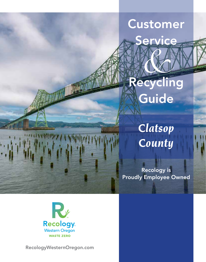# Customer

**Service** 

Recycling Guide *&*

> *Clatsop County*

Recology is Proudly Employee Owned



RecologyWesternOregon.com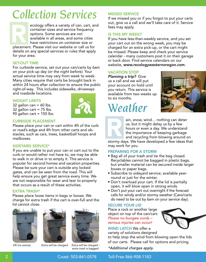# *Collection Services*



placement. Please visit our website or call us for details on any special services or rules that apply for your area. Records

## SET-OUT TIME

For curbside service, set out your can/carts by 6am on your pick-up day *(or the night before)*. Your actual service time may vary from week to week. Many cities require that carts be brought back in within 24 hours after collection to ensure the public right-of-way. This includes sidewalks, driveways and roadside locations.

#### WEIGHT LIMITS

32 gallon can  $= 60$  lbs. 32 gallon cart  $= 75$  lbs. 90 gallon cart =  $150$  lbs.



### CURBSIDE PLACEMENT

Please place your can or cart within 4ft of the curb or road's edge and 4ft from other carts and obstacles, such as cars, trees, basketball hoops and mailboxes.

### SIDEYARD SERVICE\*

If you are unable to put your can or cart out to the curb or would rather not have to, we may be able to walk in or drive in to empty it. This service is popular for second homes and vacation properties. Please be sure your cart is outside any locked gates, and can be seen from the road. This will help ensure you get great service every time. We are not responsible for wear and tear to property that occurs as a result of these activities.

### EXTRA TRASH\*

Please place loose items in bags or boxes. We charge for extra trash if the cart is over-full and the lid cannot close.





*OK (no extras) Extra will be charged. Extra will be charged extra trash is bagged.*

#### MISSED SERVICE

If we missed you or if you forgot to put your carts out, give us a call and we'll take care of it. Service fees may apply.

#### IS THIS MY WEEK?

If you have less-than-weekly service, and you set your cart out on the wrong week, you may be charged for an extra pick-up, or the cart might be missed. Please keep and check your service calendar - many customers post it on their garage or back door. Find service calendars on our website, www.recologywesternoregon.com.

### VACATION STOP

*Planning a trip?* Give us a call and we will put your account on hold until you return. This service is available from two weeks up to six months.

## *Weather*





ain, snow, wind… nothing can deter us, but it might delay us by a few hours or even a day. We understand the importance of keeping garbage and recycling from blowing around on

stormy days. We have developed a few ideas that may work for you.

### PREPARING FOR A STORM

- Bag all of your trash and tie the bag closed. Recyclables cannot be bagged in plastic bags, but smaller material can be secured inside larger boxes or paper bags.
- Subscribe to sideyard service; available yearround or just for the winter.
- Don't overload your cart. If the lid is partially open, it will blow open in strong winds.
- Don't put your cart out overnight if the forecast calls for windy and/or stormy weather (Cans/carts do need to be out by 6am on your service day).

#### SECURE YOUR LID

Place a rock or another large object on top of the can/cart. *Please no bungee cords – serious injuries can occur!*

#### WIND LATCH We offer a variety of solutions designed

to help stop the wind from blowing open the lids

of our carts. Please call for options and pricing.

*\*Additional charges apply.*



2 Coast: 503-861-0578 Toll-Free 866-908-1183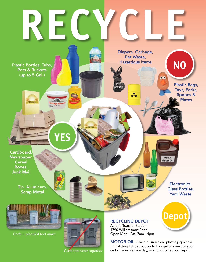

*Carts too close together*

MOTOR OIL - Place oil in a clear plastic jug with a tight-fitting lid. Set out up to two gallons next to your cart on your service day, or drop it off at our depot.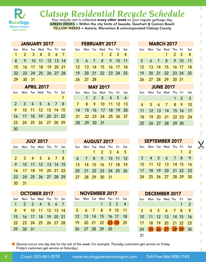

# **Clatsop Residential Recycle Schedule** Your recycle cart is collected every other week on your regular garbage day.

GREEN WEEKS = Within the city limits of Seaside, Gearhart & Cannon Beach YELLOW WEEKS = Astoria, Warrenton & unincorporated Clatsop County

|     | <b>JANUARY 2017</b>  |                         |  |  |
|-----|----------------------|-------------------------|--|--|
| Sun |                      | Mon Tue Wed Thu Fri Sat |  |  |
|     | 1 2 3 4 5 6 7        |                         |  |  |
| 8   | 9 10 11 12 13 14     |                         |  |  |
|     | 15 16 17 18 19 20 21 |                         |  |  |
|     | 22 23 24 25 26 27 28 |                         |  |  |
|     | 29 30 31             |                         |  |  |
|     |                      |                         |  |  |

| <b>APRIL 2017</b> |                      |  |                         |  |  |   |  |  |
|-------------------|----------------------|--|-------------------------|--|--|---|--|--|
| Sun               |                      |  | Mon Tue Wed Thu Fri Sat |  |  |   |  |  |
|                   |                      |  |                         |  |  |   |  |  |
|                   | 2 3 4 5 6 7          |  |                         |  |  | 8 |  |  |
|                   | 9 10 11 12 13 14 15  |  |                         |  |  |   |  |  |
|                   | 16 17 18 19 20 21 22 |  |                         |  |  |   |  |  |
|                   | 23 24 25 26 27 28 29 |  |                         |  |  |   |  |  |
| 30                |                      |  |                         |  |  |   |  |  |

| <b>JULY 2017</b> |                      |  |                         |  |  |  |  |  |
|------------------|----------------------|--|-------------------------|--|--|--|--|--|
| Sun              |                      |  | Mon Tue Wed Thu Fri Sat |  |  |  |  |  |
|                  |                      |  |                         |  |  |  |  |  |
|                  | 2 3 4 5 6 7 8        |  |                         |  |  |  |  |  |
| 9.               |                      |  | 10 11 12 13 14 15       |  |  |  |  |  |
|                  | 16 17 18 19 20 21 22 |  |                         |  |  |  |  |  |
| 23               | 24 25 26 27 28 29    |  |                         |  |  |  |  |  |
| 30               | - 31                 |  |                         |  |  |  |  |  |

| <b>OCTOBER 2017</b> |                      |  |                         |  |  |  |  |  |  |  |  |
|---------------------|----------------------|--|-------------------------|--|--|--|--|--|--|--|--|
| Sun                 |                      |  | Mon Tue Wed Thu Fri Sat |  |  |  |  |  |  |  |  |
|                     | 1 2 3 4 5 6 7        |  |                         |  |  |  |  |  |  |  |  |
| 8                   | 9 10 11 12 13 14     |  |                         |  |  |  |  |  |  |  |  |
|                     | 15 16 17 18 19 20 21 |  |                         |  |  |  |  |  |  |  |  |
|                     | 22 23 24 25 26 27 28 |  |                         |  |  |  |  |  |  |  |  |
|                     | 29 30 31             |  |                         |  |  |  |  |  |  |  |  |

| FEBRUARI 4017 |          |  |                             |                             |  |  |  |
|---------------|----------|--|-----------------------------|-----------------------------|--|--|--|
|               |          |  | Sun Mon Tue Wed Thu Fri Sat |                             |  |  |  |
|               |          |  |                             | $1 \quad 2 \quad 3 \quad 4$ |  |  |  |
|               |          |  | 5 6 7 8 9 10 11             |                             |  |  |  |
|               |          |  | 12 13 14 15 16 17 18        |                             |  |  |  |
|               |          |  | 19 20 21 22 23 24 25        |                             |  |  |  |
|               | 26 27 28 |  |                             |                             |  |  |  |
| MAV 2017      |          |  |                             |                             |  |  |  |

FEBRUARY 2017

|             | IVIAI LUI <i>I</i>          |  |  |
|-------------|-----------------------------|--|--|
|             | Sun Mon Tue Wed Thu Fri Sat |  |  |
|             | $1 \t2 \t3 \t4 \t5 \t6$     |  |  |
|             | 7 8 9 10 11 12 13           |  |  |
|             | 14 15 16 17 18 19 20        |  |  |
|             | 21 22 23 24 25 26 27        |  |  |
| 28 29 30 31 |                             |  |  |
|             |                             |  |  |

AUGUST 2017 Sun Mon Tue Wed Thu Fri Sat 1 2 3 4 5

> 6 7 8 9 10 11 12 13 14 15 16 17 18 19 20 21 22 23 24 25 26

27 28 29 30 31

NOVEMBER 2017 Sun Mon Tue Wed Thu Fri Sat 1 2 3 4

5 6 7 8 9 10 11 12 13 14 15 16 17 18 19 20 21 22 23 24 25

|  |  | Sun Mon Tue Wed Thu Fri Sat                                                                                          |                             |  |
|--|--|----------------------------------------------------------------------------------------------------------------------|-----------------------------|--|
|  |  |                                                                                                                      | $1 \quad 2 \quad 3 \quad 4$ |  |
|  |  | 5 6 7 8 9 10 11                                                                                                      |                             |  |
|  |  | 12 13 14 15 16 17 18                                                                                                 |                             |  |
|  |  | 19 20 21 22 23 24 25                                                                                                 |                             |  |
|  |  | 26 27 28 29 30 31                                                                                                    |                             |  |
|  |  | <b>JUNE 2017</b>                                                                                                     |                             |  |
|  |  | $C_{\text{max}}$ M <sub>ar</sub> T <sub>ra</sub> M <sub>a</sub> l T <sub>h</sub> , F <sub>a</sub> t $C_{\text{max}}$ |                             |  |

| Sun |  | Mon Tue Wed Thu Fri Sat |       |  |
|-----|--|-------------------------|-------|--|
|     |  |                         | 1 2 3 |  |
|     |  | 4 5 6 7 8 9 10          |       |  |
|     |  | 11 12 13 14 15 16 17    |       |  |
|     |  | 18 19 20 21 22 23 24    |       |  |
|     |  | 25 26 27 28 29 30       |       |  |
|     |  |                         |       |  |

MARCH 2017

|     |  | <b>SEPTEMBER 2017</b>   |       |                |
|-----|--|-------------------------|-------|----------------|
| Sun |  | Mon Tue Wed Thu Fri Sat |       |                |
|     |  |                         | $1 -$ | $\blacksquare$ |
| 3   |  | 4 5 6 7 8               |       | 9              |
|     |  | 10 11 12 13 14 15 16    |       |                |
|     |  | 17 18 19 20 21 22 23    |       |                |
|     |  | 24 25 26 27 28 29 30    |       |                |
|     |  |                         |       |                |

 $\chi$ 

| <b>DECEMBER 2017</b> |                   |  |                     |  |   |               |
|----------------------|-------------------|--|---------------------|--|---|---------------|
| <b>Sun</b>           |                   |  | Mon Tue Wed Thu Fri |  |   | Sat           |
|                      |                   |  |                     |  | 1 | $\mathcal{P}$ |
| 3                    |                   |  | 4 5 6 7 8           |  |   | <b>Q</b>      |
| 10                   |                   |  | 11 12 13 14 15 16   |  |   |               |
| 17                   |                   |  | 18 19 20 21 22 23   |  |   |               |
| 24                   | 25 26 27 28 29 30 |  |                     |  |   |               |
|                      |                   |  |                     |  |   |               |

*(Service occurs one day late for the rest of the week; For example, Thursday customers get service on Friday, Friday's customers get service on Saturday.)*

26 27 28 29 30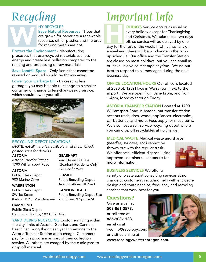# *Recycling*

## HY RECYCLE?

Save Natural Resources - Trees that are grown for paper are a renewable resource; oil for plastics and the ores for making metals are not. HY RECYCLE?<br>
Save Natural Resources - Trees that<br>
are grown for paper are a renewable<br>
resource; oil for plastics and the ores<br>
for making metals are not.<br>
day for the

Protect the Environment - Manufacturing processes that use recycled materials use less energy and create less pollution compared to the refining and processing of raw materials.

Save Landfill Space - Only items that cannot be re-used or recycled should be thrown away.

Lower your Garbage Bill - By creating less garbage, you may be able to change to a smaller container or change to less-than-weekly service, which should lower your bill.



## RECYCLING DEPOT LOCATIONS

*(NOTE: not all materials available at all sites. Check posted signs for details.)* 

ASTORIA Astoria Transfer Station 1790 Williamsport Road

ASTORIA

Public Glass Depot 900 Marine Drive

**SEASIDE** Public Recycling Depot Ave S & Aldermill Road

CANNON BEACH

Public Recycling Depot East 2nd Street & Spruce St.

698 Pacific Way

Yard Debris & Glass (Gearhart Residents Only)

GEARHART

**WARRENTON** Public Glass Depot SW 1st Street (behind 119 S. Main Avenue)

HAMMOND

Public Glass Depot Hammond Marina, 1090 First Ave.

YARD DEBRIS RECYCLING Customers living within the city limits of Astoria, Gearhart, and Cannon Beach can bring their clean yard trimmings to the Astoria Transfer Station at no charge. Customers pay for this program as part of their collection service. All others are charged by the cubic yard to drop off material.

# *Important Info*

OLIDAYS Service occurs as usual on every holiday except for Thanksgiving and Christmas. We take these two days off, so service will be delayed by one

day for the rest of the week. If Christmas falls on a weekend, there will be no change in the pickup schedule. Our office and the Transfer Station are closed on most holidays, but you can email us or leave us a voice message anytime. We do our best to respond to all messages during the next business day.

OFFICE LOCATION/HOURS Our office is located at 2320 SE 12th Place in Warrenton, next to the airport. We are open from 8am-12pm, and from 1-4pm, Monday through Friday.

ASTORIA TRANSFER STATION Located at 1790 Williamsport Road in Astoria, our transfer station accepts trash, tires, wood, appliances, electronics, car batteries, and more. Fees apply for most items. We also host a self-service recycling depot where you can drop off recyclables at no charge.

## MEDICAL WASTE Medical waste and sharps

*(needles, syringes, etc.)* cannot be thrown out with the regular trash. We offer safe, efficient disposal using approved containers - contact us for more information.



## BUSINESS SERVICES We offer a

variety of waste audit consulting services at no charge to customers, including help with enclosure design and container size, frequency and recycling services that work best for you.

## **Questions?**

Give us a call at 503-861-0578, or toll-free at 866-908-1183, email us at rwoinfo@recology.com, or visit us online at



www.recologywesternoregon.com.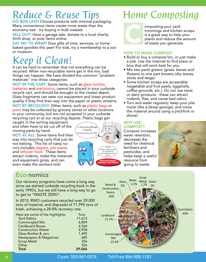## *Reduce & Reuse Tips*

GO BOX-LESS! Choose products with minimal packaging. Many convenience items create more waste than the economy size - try buying in bulk instead.

SELL OUT! Have a garage sale, donate to a local charity thrift shop, or post items online.

SAY NO TO WRAP! Give gifts of time, services, or homebaked goodies this year! For kids, try a membership to a zoo or museum.

## *Keep it Clean!*

It can be hard to remember that not everything can be recycled. When non-recyclable items get in the mix, bad things can happen. We have divided the common "problem materials" into three categories:

NOT IN THE CART: Some items, such as glass bottles, batteries and electronics, cannot be placed in your curbside recycle cart, and should be brought to the closest depot. Glass fragments can wear out equipment and lower product quality if they find their way into the paper or plastic streams. NOT BY RECOLOGY: Other items, such as plastic bags or paint may be collected by grocery stores or other locations in your community, but are not accepted in your curbside recycling cart or at our recycling depots. Plastic bags get

> *I ruin everything I touch! Don't recycle me, Bro!*

> > *CLEAN plastic bags should be recycled at participating stores ONLY!* NO PLASTIC BAGS, DIAPERS or PET WASTE

caught in the sorting equipment, and often have to be cut off of the moving parts by hand.

NOT AT ALL: Some items find their way into recycling carts that just do not belong. This list of nasty nono's includes diapers, pet waste, and leftover food. These items attract rodents, make the materials and equipment gross, and can even make the workers sick!

## Eco-nomics

Our recovery programs have come a long way since we started curbside recycling back in the early 1990's, but we still have a long way to go to get to "WASTE ZERO".

In 2015, RWO customers recycled over 29,000 tons of material, and disposed of 71,995 tons of trash, achieving a 28.8% recovery rate.

| Here are some of the highlights: | Tons   |
|----------------------------------|--------|
| <b>Yard Debris</b>               | 11,673 |
| <b>Commingled Mix</b>            | 6,809  |
| <b>Cardboard Boxes</b>           | 4,564  |
| <b>Construction Waste</b>        | 2,958  |
| <b>Glass Bottles &amp; Jars</b>  | 1,495  |
| Newspapers & Magazines           | 685    |
| <b>Scrap Metal</b>               | 356    |
| Other                            | 526    |
| <b>Total</b>                     | 29.066 |

## *Home Composting*



omposting your yard trimmings and kitchen scraps is a great way to help your plants and reduce the amount of waste you generate.

## HOW TO MAKE COMPOST

- Build or buy a compost bin, or just make a pile. Use the Internet to find plans or bins that will work best for you.
- Mix two parts greens *(grass, leaves and flowers)* to one part browns *(dry leaves, sticks and twigs)*.
- Some kitchen scraps are acceptable *(vegetable and fruit peels, eggshells, coffee grounds, etc.)*. Do not use meat or dairy products - these can attract rodents, flies, and cause bad odors.
- Turn and water regularly; keep your pile moist *(like a damp sponge)*, and move the material around using a pitchfork or shovel.

## WHY USE COMPOST?

Compost increases water retention, decreases the need for chemical fertilizers and pesticides, and helps keep a useful resource from going to waste.





6 Coast: 503-861-0578 Toll-Free 866-908-1183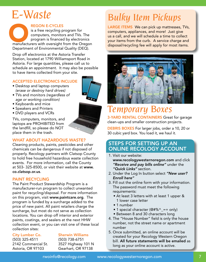## *E-Waste*

## REGON E-CYCLES

is a free recycling program for computers, monitors and TVs. The program is financed by electronics REGON E-CYCLES<br>
is a free recycling program for<br>
computers, monitors and TVs. The<br>
program is financed by electronics<br>
manufacturers with oversight from the Oregon Department of Environmental Quality (DEQ).

Drop off electronics at the Astoria Transfer Station, located at 1790 Williamsport Road in Astoria. For large quantities, please call us to schedule an appointment. It may also be possible to have items collected from your site.

## ACCEPTED ELECTRONICS INCLUDE

- Desktop and laptop computers *(erase or destroy hard drives)*
- TVs and monitors *(regardless of age or working condition)*
- Keyboards and mice
- Speakers and Printers
- DVD players and VCRs

TVs, computers, monitors, and laptops are PROHIBITED from the landfill, so please do NOT place them in the trash.

## WHAT ABOUT HAZARDOUS WASTE?

Cleaning products, paints, pesticides and other chemicals can be dangerous if not disposed of properly. Recology partners with Clatsop County to hold free household hazardous waste collection events. For more information, call the County at 503- 325-8500, or visit their website at www. co.clatsop.or.us.

## PAINT RECYCLING

The Paint Product Stewardship Program is a manufacturer-run program to collect unwanted paint for recycling/disposal. For more information on this program, visit www.paintcare.org. The program is funded by a surcharge added to the price of new paint. All paint retailers charge the surcharge, but most do not serve as collection locations. You can drop off interior and exterior paints, coatings, and sealers at the next HHW collection event, or you can visit one of these local collection sites:

City Lumber Co. (503) 325-4511 2142 Commercial St. Astoria, OR 97103

### Sherwin Williams

(503) 738-6751 3527 Highway 101 N Gearhart, OR 97138

## *Bulky Item Pickups*

LARGE ITEMS We can pick up mattresses, TVs, computers, appliances, and more! Just give us a call, and we will schedule a time to collect your items from the curb. A service charge and disposal/recycling fee will apply for most items.



## *Temporary Boxes*

3-YARD RENTAL CONTAINERS Great for garage clean-ups and smaller construction projects.

DEBRIS BOXES For larger jobs, order a 10, 20 or 30 cubic yard box. You load it, we haul it.

## STEPS FOR SETTING UP AN ONLINE RECOLOGY ACCOUNT

- 1. Visit our website: www.recologywesternoregon.com and click *"Receive and pay bills online"* under the *"Quick Links"* section.
- 2. Under the Log In button select *"New user? Enroll here"*
- 3. Fill out the online form with your information. The password must meet the following requirements:
	- At least 3 letters with at least 1 upper & 1 lower case letter
	- 1 number
	- 1 special character (@#%^\_=+ only)
	- Between 8 and 30 characters long
- 4. The "House Number" field is only the house number, not the street name or apartment number
- 5. Once submitted, an online account will be created for your Recology Western Oregon bill. All future statements will be emailed as long as your online account is active.